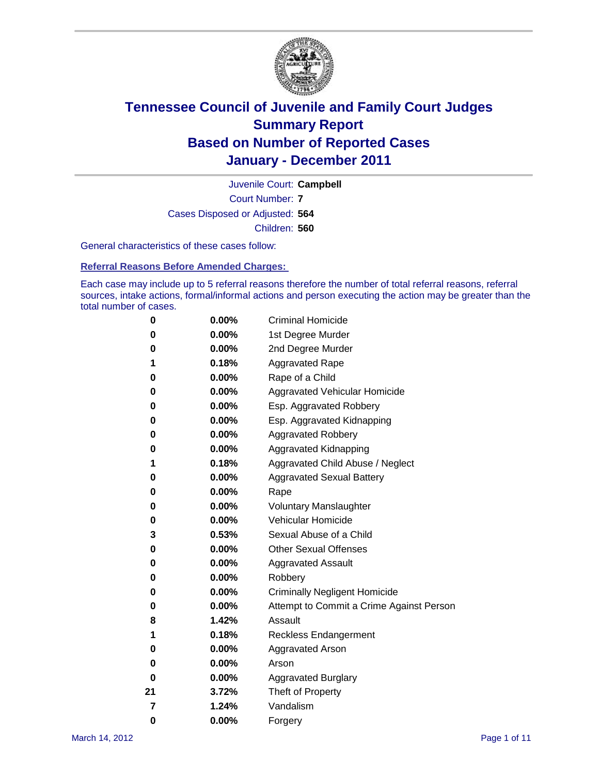

Court Number: **7** Juvenile Court: **Campbell** Cases Disposed or Adjusted: **564** Children: **560**

General characteristics of these cases follow:

**Referral Reasons Before Amended Charges:** 

Each case may include up to 5 referral reasons therefore the number of total referral reasons, referral sources, intake actions, formal/informal actions and person executing the action may be greater than the total number of cases.

| 0  | 0.00%    | <b>Criminal Homicide</b>                 |  |  |  |  |
|----|----------|------------------------------------------|--|--|--|--|
| 0  | 0.00%    | 1st Degree Murder                        |  |  |  |  |
| 0  | 0.00%    | 2nd Degree Murder                        |  |  |  |  |
| 1  | 0.18%    | <b>Aggravated Rape</b>                   |  |  |  |  |
| 0  | 0.00%    | Rape of a Child                          |  |  |  |  |
| 0  | 0.00%    | Aggravated Vehicular Homicide            |  |  |  |  |
| 0  | 0.00%    | Esp. Aggravated Robbery                  |  |  |  |  |
| 0  | 0.00%    | Esp. Aggravated Kidnapping               |  |  |  |  |
| 0  | 0.00%    | <b>Aggravated Robbery</b>                |  |  |  |  |
| 0  | 0.00%    | Aggravated Kidnapping                    |  |  |  |  |
| 1  | 0.18%    | Aggravated Child Abuse / Neglect         |  |  |  |  |
| 0  | 0.00%    | <b>Aggravated Sexual Battery</b>         |  |  |  |  |
| 0  | 0.00%    | Rape                                     |  |  |  |  |
| 0  | 0.00%    | <b>Voluntary Manslaughter</b>            |  |  |  |  |
| 0  | 0.00%    | Vehicular Homicide                       |  |  |  |  |
| 3  | 0.53%    | Sexual Abuse of a Child                  |  |  |  |  |
| 0  | 0.00%    | <b>Other Sexual Offenses</b>             |  |  |  |  |
| 0  | 0.00%    | <b>Aggravated Assault</b>                |  |  |  |  |
| 0  | $0.00\%$ | Robbery                                  |  |  |  |  |
| 0  | 0.00%    | <b>Criminally Negligent Homicide</b>     |  |  |  |  |
| 0  | 0.00%    | Attempt to Commit a Crime Against Person |  |  |  |  |
| 8  | 1.42%    | Assault                                  |  |  |  |  |
| 1  | 0.18%    | <b>Reckless Endangerment</b>             |  |  |  |  |
| 0  | 0.00%    | <b>Aggravated Arson</b>                  |  |  |  |  |
| 0  | 0.00%    | Arson                                    |  |  |  |  |
| 0  | 0.00%    | <b>Aggravated Burglary</b>               |  |  |  |  |
| 21 | 3.72%    | Theft of Property                        |  |  |  |  |
| 7  | 1.24%    | Vandalism                                |  |  |  |  |
| 0  | 0.00%    | Forgery                                  |  |  |  |  |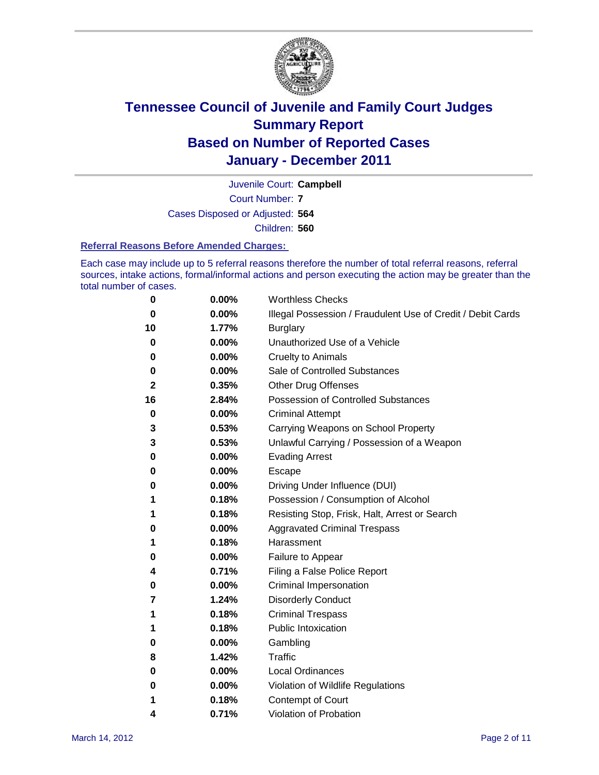

Court Number: **7** Juvenile Court: **Campbell** Cases Disposed or Adjusted: **564** Children: **560**

#### **Referral Reasons Before Amended Charges:**

Each case may include up to 5 referral reasons therefore the number of total referral reasons, referral sources, intake actions, formal/informal actions and person executing the action may be greater than the total number of cases.

| 0  | 0.00% | <b>Worthless Checks</b>                                     |  |  |
|----|-------|-------------------------------------------------------------|--|--|
| 0  | 0.00% | Illegal Possession / Fraudulent Use of Credit / Debit Cards |  |  |
| 10 | 1.77% | <b>Burglary</b>                                             |  |  |
| 0  | 0.00% | Unauthorized Use of a Vehicle                               |  |  |
| 0  | 0.00% | <b>Cruelty to Animals</b>                                   |  |  |
| 0  | 0.00% | Sale of Controlled Substances                               |  |  |
| 2  | 0.35% | <b>Other Drug Offenses</b>                                  |  |  |
| 16 | 2.84% | Possession of Controlled Substances                         |  |  |
| 0  | 0.00% | <b>Criminal Attempt</b>                                     |  |  |
| 3  | 0.53% | Carrying Weapons on School Property                         |  |  |
| 3  | 0.53% | Unlawful Carrying / Possession of a Weapon                  |  |  |
| 0  | 0.00% | <b>Evading Arrest</b>                                       |  |  |
| 0  | 0.00% | Escape                                                      |  |  |
| 0  | 0.00% | Driving Under Influence (DUI)                               |  |  |
| 1  | 0.18% | Possession / Consumption of Alcohol                         |  |  |
| 1  | 0.18% | Resisting Stop, Frisk, Halt, Arrest or Search               |  |  |
| 0  | 0.00% | <b>Aggravated Criminal Trespass</b>                         |  |  |
| 1  | 0.18% | Harassment                                                  |  |  |
| 0  | 0.00% | Failure to Appear                                           |  |  |
| 4  | 0.71% | Filing a False Police Report                                |  |  |
| 0  | 0.00% | Criminal Impersonation                                      |  |  |
| 7  | 1.24% | <b>Disorderly Conduct</b>                                   |  |  |
| 1  | 0.18% | <b>Criminal Trespass</b>                                    |  |  |
| 1  | 0.18% | <b>Public Intoxication</b>                                  |  |  |
| 0  | 0.00% | Gambling                                                    |  |  |
| 8  | 1.42% | Traffic                                                     |  |  |
| 0  | 0.00% | <b>Local Ordinances</b>                                     |  |  |
| 0  | 0.00% | Violation of Wildlife Regulations                           |  |  |
| 1  | 0.18% | Contempt of Court                                           |  |  |
| 4  | 0.71% | Violation of Probation                                      |  |  |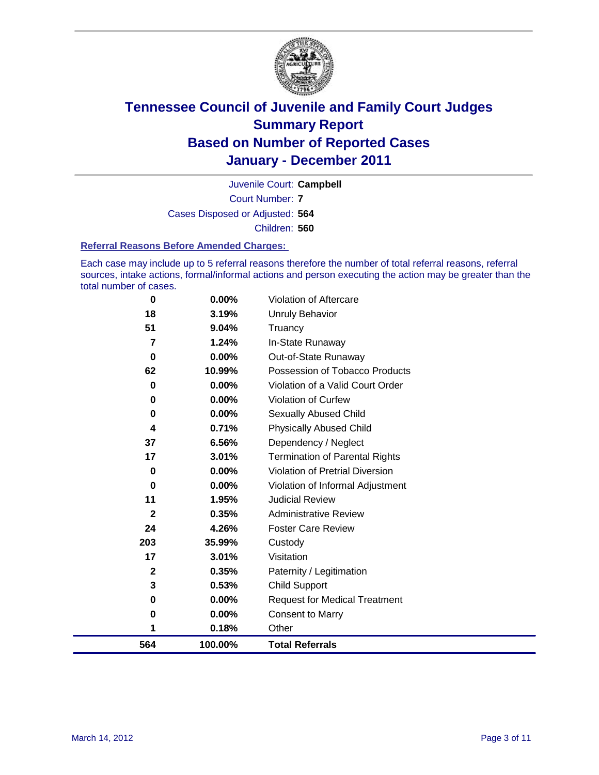

Court Number: **7** Juvenile Court: **Campbell** Cases Disposed or Adjusted: **564** Children: **560**

#### **Referral Reasons Before Amended Charges:**

Each case may include up to 5 referral reasons therefore the number of total referral reasons, referral sources, intake actions, formal/informal actions and person executing the action may be greater than the total number of cases.

| 0   | 0.00%    | Violation of Aftercare                 |
|-----|----------|----------------------------------------|
| 18  | 3.19%    | <b>Unruly Behavior</b>                 |
| 51  | 9.04%    | Truancy                                |
| 7   | 1.24%    | In-State Runaway                       |
| 0   | 0.00%    | Out-of-State Runaway                   |
| 62  | 10.99%   | Possession of Tobacco Products         |
| 0   | $0.00\%$ | Violation of a Valid Court Order       |
| 0   | 0.00%    | Violation of Curfew                    |
| 0   | $0.00\%$ | Sexually Abused Child                  |
| 4   | 0.71%    | <b>Physically Abused Child</b>         |
| 37  | 6.56%    | Dependency / Neglect                   |
| 17  | 3.01%    | <b>Termination of Parental Rights</b>  |
| 0   | 0.00%    | <b>Violation of Pretrial Diversion</b> |
| 0   | 0.00%    | Violation of Informal Adjustment       |
| 11  | 1.95%    | <b>Judicial Review</b>                 |
| 2   | 0.35%    | <b>Administrative Review</b>           |
| 24  | 4.26%    | <b>Foster Care Review</b>              |
| 203 | 35.99%   | Custody                                |
| 17  | 3.01%    | Visitation                             |
| 2   | 0.35%    | Paternity / Legitimation               |
| 3   | 0.53%    | <b>Child Support</b>                   |
| 0   | $0.00\%$ | <b>Request for Medical Treatment</b>   |
| 0   | 0.00%    | <b>Consent to Marry</b>                |
| 1   | 0.18%    | Other                                  |
| 564 | 100.00%  | <b>Total Referrals</b>                 |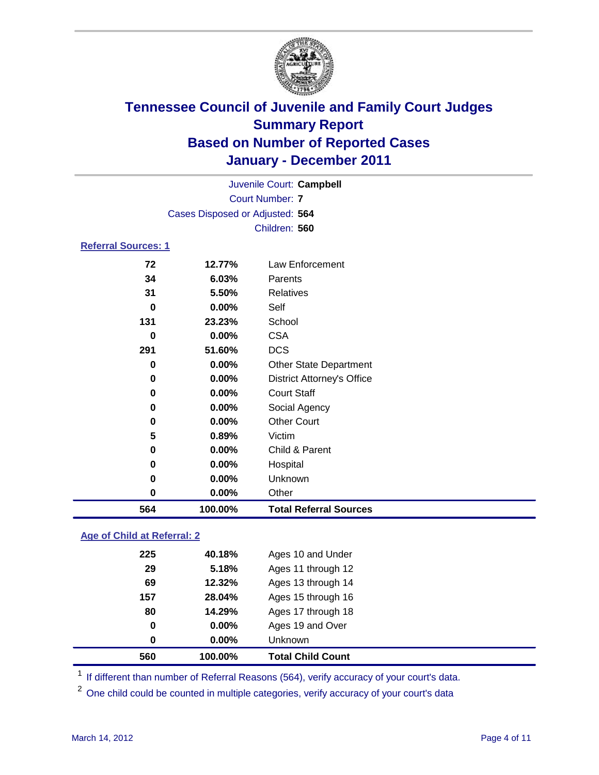

|                            | Juvenile Court: Campbell        |                                   |  |
|----------------------------|---------------------------------|-----------------------------------|--|
| <b>Court Number: 7</b>     |                                 |                                   |  |
|                            | Cases Disposed or Adjusted: 564 |                                   |  |
|                            |                                 | Children: 560                     |  |
| <b>Referral Sources: 1</b> |                                 |                                   |  |
| 72                         | 12.77%                          | Law Enforcement                   |  |
| 34                         | 6.03%                           | Parents                           |  |
| 31                         | 5.50%                           | <b>Relatives</b>                  |  |
| 0                          | 0.00%                           | Self                              |  |
| 131                        | 23.23%                          | School                            |  |
| 0                          | 0.00%                           | <b>CSA</b>                        |  |
| 291                        | 51.60%                          | <b>DCS</b>                        |  |
| 0                          | 0.00%                           | <b>Other State Department</b>     |  |
| 0                          | 0.00%                           | <b>District Attorney's Office</b> |  |
| 0                          | 0.00%                           | <b>Court Staff</b>                |  |
| 0                          | 0.00%                           | Social Agency                     |  |
| 0                          | $0.00\%$                        | <b>Other Court</b>                |  |
| 5                          | 0.89%                           | Victim                            |  |
| 0                          | 0.00%                           | Child & Parent                    |  |
| 0                          | 0.00%                           | Hospital                          |  |
| 0                          | 0.00%                           | Unknown                           |  |
| $\bf{0}$                   | 0.00%                           | Other                             |  |
| 564                        | 100.00%                         | <b>Total Referral Sources</b>     |  |

### **Age of Child at Referral: 2**

| 560 | 100.00% | <b>Total Child Count</b> |
|-----|---------|--------------------------|
| 0   | 0.00%   | <b>Unknown</b>           |
| 0   | 0.00%   | Ages 19 and Over         |
| 80  | 14.29%  | Ages 17 through 18       |
| 157 | 28.04%  | Ages 15 through 16       |
| 69  | 12.32%  | Ages 13 through 14       |
| 29  | 5.18%   | Ages 11 through 12       |
| 225 | 40.18%  | Ages 10 and Under        |
|     |         |                          |

<sup>1</sup> If different than number of Referral Reasons (564), verify accuracy of your court's data.

<sup>2</sup> One child could be counted in multiple categories, verify accuracy of your court's data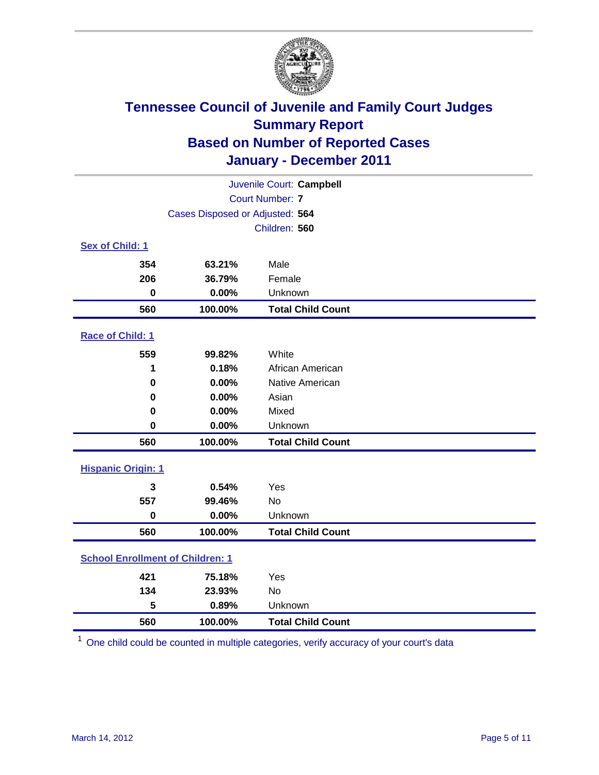

| Juvenile Court: Campbell                |                                 |                          |  |  |
|-----------------------------------------|---------------------------------|--------------------------|--|--|
|                                         | <b>Court Number: 7</b>          |                          |  |  |
|                                         | Cases Disposed or Adjusted: 564 |                          |  |  |
|                                         |                                 | Children: 560            |  |  |
| Sex of Child: 1                         |                                 |                          |  |  |
| 354                                     | 63.21%                          | Male                     |  |  |
| 206                                     | 36.79%                          | Female                   |  |  |
| 0                                       | 0.00%                           | Unknown                  |  |  |
| 560                                     | 100.00%                         | <b>Total Child Count</b> |  |  |
| Race of Child: 1                        |                                 |                          |  |  |
| 559                                     | 99.82%                          | White                    |  |  |
| 1                                       | 0.18%                           | African American         |  |  |
| $\mathbf 0$                             | 0.00%                           | Native American          |  |  |
| 0                                       | 0.00%                           | Asian                    |  |  |
| 0                                       | 0.00%                           | Mixed                    |  |  |
| $\mathbf 0$                             | 0.00%                           | Unknown                  |  |  |
| 560                                     | 100.00%                         | <b>Total Child Count</b> |  |  |
| <b>Hispanic Origin: 1</b>               |                                 |                          |  |  |
| 3                                       | 0.54%                           | Yes                      |  |  |
| 557                                     | 99.46%                          | No                       |  |  |
| $\mathbf 0$                             | 0.00%                           | Unknown                  |  |  |
| 560                                     | 100.00%                         | <b>Total Child Count</b> |  |  |
| <b>School Enrollment of Children: 1</b> |                                 |                          |  |  |
| 421                                     | 75.18%                          | Yes                      |  |  |
| 134                                     | 23.93%                          | <b>No</b>                |  |  |
| 5                                       | 0.89%                           | Unknown                  |  |  |
| 560                                     | 100.00%                         | <b>Total Child Count</b> |  |  |

One child could be counted in multiple categories, verify accuracy of your court's data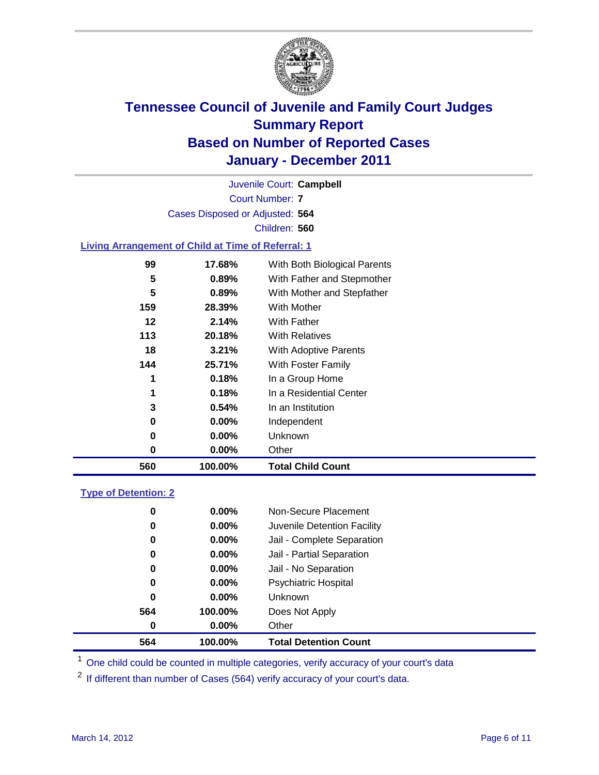

Court Number: **7** Juvenile Court: **Campbell** Cases Disposed or Adjusted: **564** Children: **560**

#### **Living Arrangement of Child at Time of Referral: 1**

| 560 | 100.00%  | <b>Total Child Count</b>     |
|-----|----------|------------------------------|
| 0   | $0.00\%$ | Other                        |
| 0   | $0.00\%$ | Unknown                      |
| 0   | $0.00\%$ | Independent                  |
| 3   | 0.54%    | In an Institution            |
| 1   | 0.18%    | In a Residential Center      |
| 1   | 0.18%    | In a Group Home              |
| 144 | 25.71%   | With Foster Family           |
| 18  | 3.21%    | With Adoptive Parents        |
| 113 | 20.18%   | <b>With Relatives</b>        |
| 12  | 2.14%    | With Father                  |
| 159 | 28.39%   | With Mother                  |
| 5   | 0.89%    | With Mother and Stepfather   |
| 5   | 0.89%    | With Father and Stepmother   |
| 99  | 17.68%   | With Both Biological Parents |
|     |          |                              |

#### **Type of Detention: 2**

| 564      | 100.00%  | <b>Total Detention Count</b> |
|----------|----------|------------------------------|
| 0        | $0.00\%$ | Other                        |
| 564      | 100.00%  | Does Not Apply               |
| $\bf{0}$ | $0.00\%$ | <b>Unknown</b>               |
| 0        | 0.00%    | <b>Psychiatric Hospital</b>  |
| 0        | 0.00%    | Jail - No Separation         |
| 0        | $0.00\%$ | Jail - Partial Separation    |
| 0        | $0.00\%$ | Jail - Complete Separation   |
| 0        | $0.00\%$ | Juvenile Detention Facility  |
| 0        | $0.00\%$ | Non-Secure Placement         |
|          |          |                              |

<sup>1</sup> One child could be counted in multiple categories, verify accuracy of your court's data

<sup>2</sup> If different than number of Cases (564) verify accuracy of your court's data.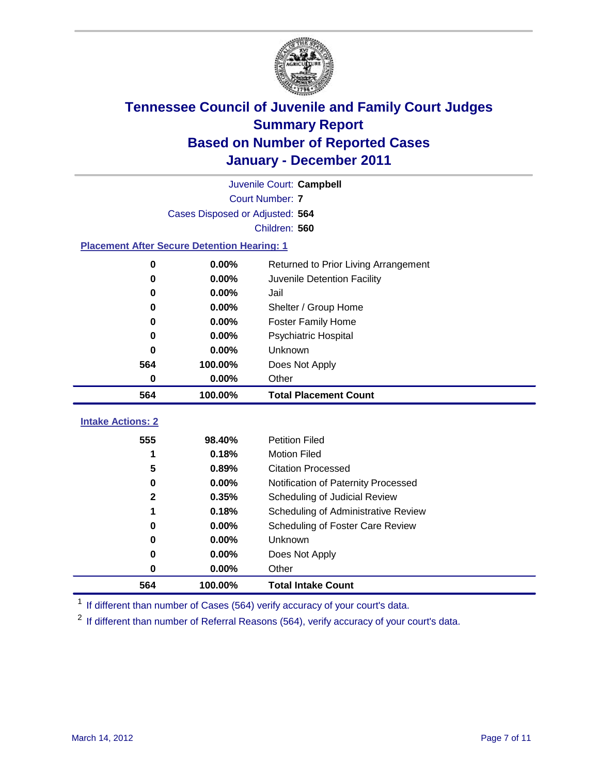

| Juvenile Court: Campbell                           |                                               |                                     |  |  |  |
|----------------------------------------------------|-----------------------------------------------|-------------------------------------|--|--|--|
|                                                    | <b>Court Number: 7</b>                        |                                     |  |  |  |
|                                                    | Cases Disposed or Adjusted: 564               |                                     |  |  |  |
|                                                    |                                               | Children: 560                       |  |  |  |
| <b>Placement After Secure Detention Hearing: 1</b> |                                               |                                     |  |  |  |
| $\bf{0}$                                           | 0.00%<br>Returned to Prior Living Arrangement |                                     |  |  |  |
| 0                                                  | 0.00%                                         | Juvenile Detention Facility         |  |  |  |
| 0                                                  | 0.00%                                         | Jail                                |  |  |  |
| $\bf{0}$                                           | 0.00%                                         | Shelter / Group Home                |  |  |  |
| 0                                                  | $0.00\%$                                      | <b>Foster Family Home</b>           |  |  |  |
| 0                                                  | 0.00%                                         | Psychiatric Hospital                |  |  |  |
| $\bf{0}$                                           | $0.00\%$                                      | Unknown                             |  |  |  |
| 564                                                | 100.00%                                       | Does Not Apply                      |  |  |  |
| $\pmb{0}$                                          | 0.00%                                         | Other                               |  |  |  |
| 564                                                | 100.00%                                       | <b>Total Placement Count</b>        |  |  |  |
| <b>Intake Actions: 2</b>                           |                                               |                                     |  |  |  |
| 555                                                | 98.40%                                        | <b>Petition Filed</b>               |  |  |  |
| 1                                                  | 0.18%                                         | <b>Motion Filed</b>                 |  |  |  |
| 5                                                  | 0.89%                                         | <b>Citation Processed</b>           |  |  |  |
| $\bf{0}$                                           | 0.00%                                         | Notification of Paternity Processed |  |  |  |
| $\mathbf{2}$                                       | 0.35%                                         | Scheduling of Judicial Review       |  |  |  |
| 1                                                  | 0.18%                                         | Scheduling of Administrative Review |  |  |  |
| 0                                                  | 0.00%                                         | Scheduling of Foster Care Review    |  |  |  |
| 0                                                  | 0.00%                                         | Unknown                             |  |  |  |
| 0                                                  |                                               |                                     |  |  |  |
|                                                    | 0.00%                                         | Does Not Apply                      |  |  |  |

<sup>1</sup> If different than number of Cases (564) verify accuracy of your court's data.

**100.00% Total Intake Count**

<sup>2</sup> If different than number of Referral Reasons (564), verify accuracy of your court's data.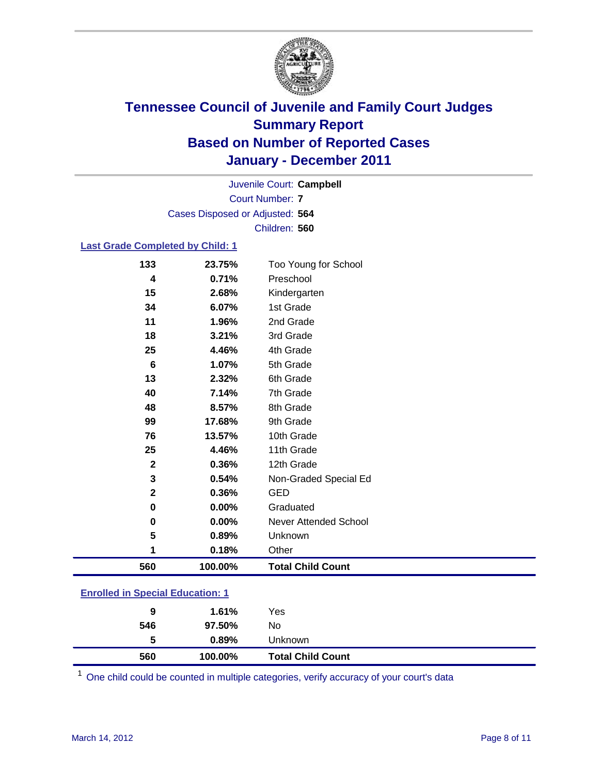

Court Number: **7** Juvenile Court: **Campbell** Cases Disposed or Adjusted: **564** Children: **560**

#### **Last Grade Completed by Child: 1**

| 4               | 0.71%   | Preschool                    |
|-----------------|---------|------------------------------|
| 15              | 2.68%   | Kindergarten                 |
| 34              | 6.07%   | 1st Grade                    |
| 11              | 1.96%   | 2nd Grade                    |
| 18              | 3.21%   | 3rd Grade                    |
| 25              | 4.46%   | 4th Grade                    |
| $6\phantom{1}6$ | 1.07%   | 5th Grade                    |
| 13              | 2.32%   | 6th Grade                    |
| 40              | 7.14%   | 7th Grade                    |
| 48              | 8.57%   | 8th Grade                    |
| 99              | 17.68%  | 9th Grade                    |
| 76              | 13.57%  | 10th Grade                   |
| 25              | 4.46%   | 11th Grade                   |
| $\mathbf{2}$    | 0.36%   | 12th Grade                   |
| 3               | 0.54%   | Non-Graded Special Ed        |
| $\mathbf{2}$    | 0.36%   | <b>GED</b>                   |
| 0               | 0.00%   | Graduated                    |
| 0               | 0.00%   | <b>Never Attended School</b> |
| 5               | 0.89%   | Unknown                      |
| 1               | 0.18%   | Other                        |
| 560             | 100.00% | <b>Total Child Count</b>     |

| 560                                     | 100.00%  | <b>Total Child Count</b> |  |  |
|-----------------------------------------|----------|--------------------------|--|--|
| 5                                       | $0.89\%$ | <b>Unknown</b>           |  |  |
| 546                                     | 97.50%   | No                       |  |  |
| 9                                       | 1.61%    | Yes                      |  |  |
| <b>Enrolled in Special Education: 1</b> |          |                          |  |  |

One child could be counted in multiple categories, verify accuracy of your court's data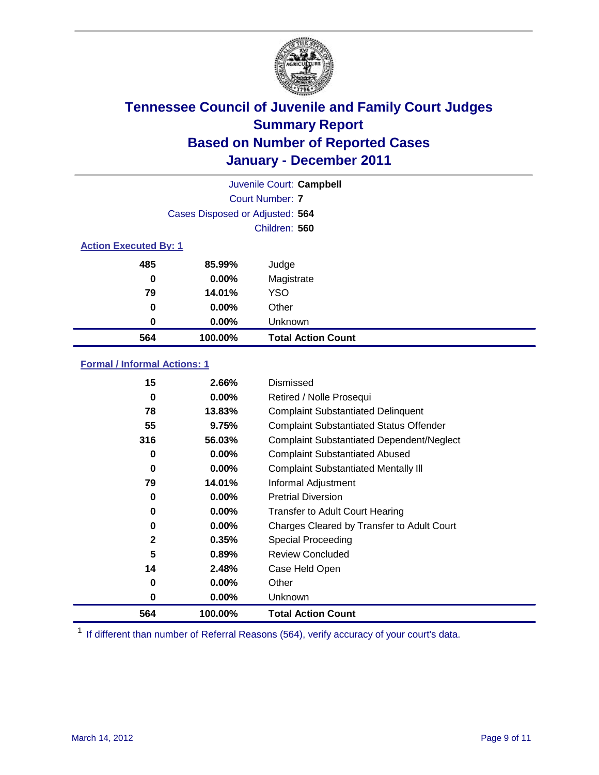

|                              | Juvenile Court: Campbell        |                           |  |  |  |
|------------------------------|---------------------------------|---------------------------|--|--|--|
|                              | Court Number: 7                 |                           |  |  |  |
|                              | Cases Disposed or Adjusted: 564 |                           |  |  |  |
|                              |                                 | Children: 560             |  |  |  |
| <b>Action Executed By: 1</b> |                                 |                           |  |  |  |
| 485                          | 85.99%                          | Judge                     |  |  |  |
| 0                            | $0.00\%$                        | Magistrate                |  |  |  |
| 79                           | 14.01%                          | <b>YSO</b>                |  |  |  |
| $\bf{0}$                     | $0.00\%$                        | Other                     |  |  |  |
| 0                            | 0.00%                           | Unknown                   |  |  |  |
| 564                          | 100.00%                         | <b>Total Action Count</b> |  |  |  |

### **Formal / Informal Actions: 1**

| 15           | 2.66%    | Dismissed                                        |
|--------------|----------|--------------------------------------------------|
| 0            | $0.00\%$ | Retired / Nolle Prosequi                         |
| 78           | 13.83%   | <b>Complaint Substantiated Delinquent</b>        |
| 55           | 9.75%    | <b>Complaint Substantiated Status Offender</b>   |
| 316          | 56.03%   | <b>Complaint Substantiated Dependent/Neglect</b> |
| 0            | $0.00\%$ | <b>Complaint Substantiated Abused</b>            |
| 0            | $0.00\%$ | <b>Complaint Substantiated Mentally III</b>      |
| 79           | 14.01%   | Informal Adjustment                              |
| 0            | $0.00\%$ | <b>Pretrial Diversion</b>                        |
| 0            | $0.00\%$ | <b>Transfer to Adult Court Hearing</b>           |
| 0            | 0.00%    | Charges Cleared by Transfer to Adult Court       |
| $\mathbf{2}$ | 0.35%    | Special Proceeding                               |
| 5            | 0.89%    | <b>Review Concluded</b>                          |
| 14           | 2.48%    | Case Held Open                                   |
| 0            | $0.00\%$ | Other                                            |
| 0            | $0.00\%$ | <b>Unknown</b>                                   |
| 564          | 100.00%  | <b>Total Action Count</b>                        |

<sup>1</sup> If different than number of Referral Reasons (564), verify accuracy of your court's data.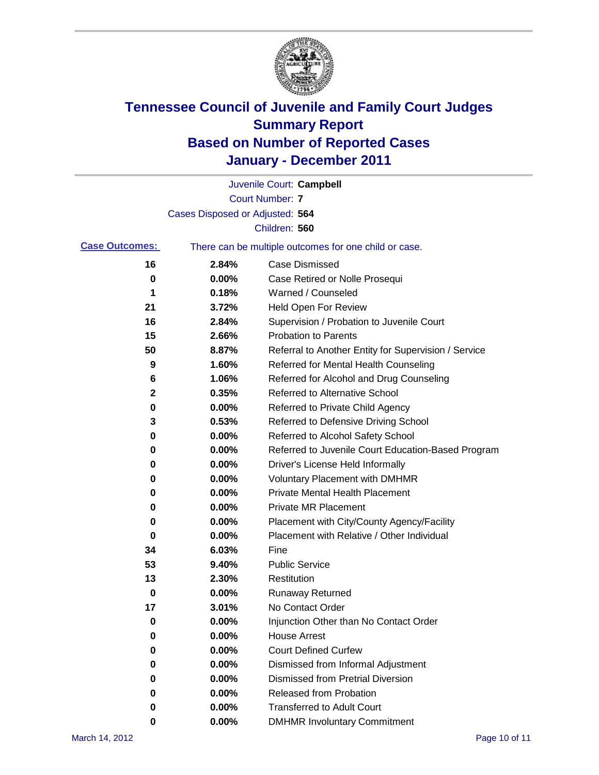

|                       |                                 | Juvenile Court: Campbell                              |
|-----------------------|---------------------------------|-------------------------------------------------------|
|                       |                                 | <b>Court Number: 7</b>                                |
|                       | Cases Disposed or Adjusted: 564 |                                                       |
|                       |                                 | Children: 560                                         |
| <b>Case Outcomes:</b> |                                 | There can be multiple outcomes for one child or case. |
| 16                    | 2.84%                           | <b>Case Dismissed</b>                                 |
| 0                     | 0.00%                           | Case Retired or Nolle Prosequi                        |
| 1                     | 0.18%                           | Warned / Counseled                                    |
| 21                    | 3.72%                           | <b>Held Open For Review</b>                           |
| 16                    | 2.84%                           | Supervision / Probation to Juvenile Court             |
| 15                    | 2.66%                           | <b>Probation to Parents</b>                           |
| 50                    | 8.87%                           | Referral to Another Entity for Supervision / Service  |
| 9                     | 1.60%                           | Referred for Mental Health Counseling                 |
| 6                     | 1.06%                           | Referred for Alcohol and Drug Counseling              |
| 2                     | 0.35%                           | Referred to Alternative School                        |
| 0                     | 0.00%                           | Referred to Private Child Agency                      |
| 3                     | 0.53%                           | Referred to Defensive Driving School                  |
| 0                     | 0.00%                           | Referred to Alcohol Safety School                     |
| 0                     | 0.00%                           | Referred to Juvenile Court Education-Based Program    |
| 0                     | 0.00%                           | Driver's License Held Informally                      |
| 0                     | 0.00%                           | <b>Voluntary Placement with DMHMR</b>                 |
| 0                     | 0.00%                           | <b>Private Mental Health Placement</b>                |
| 0                     | 0.00%                           | <b>Private MR Placement</b>                           |
| 0                     | 0.00%                           | Placement with City/County Agency/Facility            |
| 0                     | 0.00%                           | Placement with Relative / Other Individual            |
| 34                    | 6.03%                           | Fine                                                  |
| 53                    | 9.40%                           | <b>Public Service</b>                                 |
| 13                    | 2.30%                           | Restitution                                           |
| 0                     | 0.00%                           | <b>Runaway Returned</b>                               |
| 17                    | 3.01%                           | No Contact Order                                      |
| 0                     | 0.00%                           | Injunction Other than No Contact Order                |
| 0                     | 0.00%                           | <b>House Arrest</b>                                   |
| 0                     | 0.00%                           | <b>Court Defined Curfew</b>                           |
| 0                     | 0.00%                           | Dismissed from Informal Adjustment                    |
| 0                     | 0.00%                           | <b>Dismissed from Pretrial Diversion</b>              |
| 0                     | 0.00%                           | Released from Probation                               |
| 0                     | 0.00%                           | <b>Transferred to Adult Court</b>                     |
| 0                     | 0.00%                           | <b>DMHMR Involuntary Commitment</b>                   |